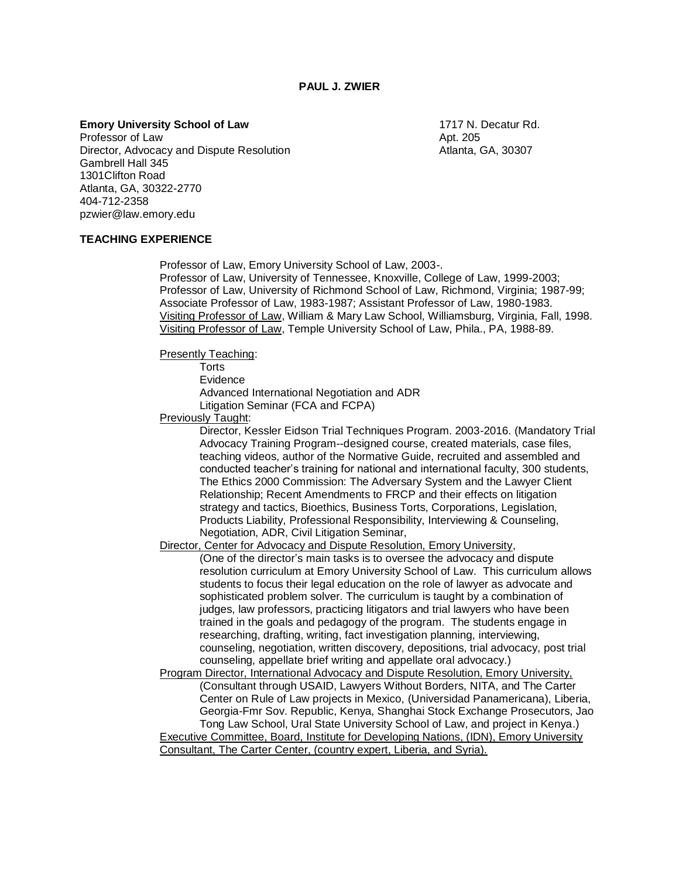**PAUL J. ZWIER**

**Emory University School of Law 1717 N. Decatur Rd.** 1717 N. Decatur Rd.

Professor of Law Apt. 205 Director, Advocacy and Dispute Resolution **Atlanta, GA, 30307** Gambrell Hall 345 1301Clifton Road Atlanta, GA, 30322-2770 404-712-2358 pzwier@law.emory.edu

#### **TEACHING EXPERIENCE**

Professor of Law, Emory University School of Law, 2003-.

Professor of Law, University of Tennessee, Knoxville, College of Law, 1999-2003; Professor of Law, University of Richmond School of Law, Richmond, Virginia; 1987-99; Associate Professor of Law, 1983-1987; Assistant Professor of Law, 1980-1983. Visiting Professor of Law, William & Mary Law School, Williamsburg, Virginia, Fall, 1998. Visiting Professor of Law, Temple University School of Law, Phila., PA, 1988-89.

Presently Teaching:

**Torts** 

Evidence

Advanced International Negotiation and ADR Litigation Seminar (FCA and FCPA)

Previously Taught:

Director, Kessler Eidson Trial Techniques Program. 2003-2016. (Mandatory Trial Advocacy Training Program--designed course, created materials, case files, teaching videos, author of the Normative Guide, recruited and assembled and conducted teacher's training for national and international faculty, 300 students, The Ethics 2000 Commission: The Adversary System and the Lawyer Client Relationship; Recent Amendments to FRCP and their effects on litigation strategy and tactics, Bioethics, Business Torts, Corporations, Legislation, Products Liability, Professional Responsibility, Interviewing & Counseling, Negotiation, ADR, Civil Litigation Seminar,

Director, Center for Advocacy and Dispute Resolution, Emory University,

(One of the director's main tasks is to oversee the advocacy and dispute resolution curriculum at Emory University School of Law. This curriculum allows students to focus their legal education on the role of lawyer as advocate and sophisticated problem solver. The curriculum is taught by a combination of judges, law professors, practicing litigators and trial lawyers who have been trained in the goals and pedagogy of the program. The students engage in researching, drafting, writing, fact investigation planning, interviewing, counseling, negotiation, written discovery, depositions, trial advocacy, post trial counseling, appellate brief writing and appellate oral advocacy.)

Program Director, International Advocacy and Dispute Resolution, Emory University, (Consultant through USAID, Lawyers Without Borders, NITA, and The Carter Center on Rule of Law projects in Mexico, (Universidad Panamericana), Liberia, Georgia-Fmr Sov. Republic, Kenya, Shanghai Stock Exchange Prosecutors, Jao Tong Law School, Ural State University School of Law, and project in Kenya.) Executive Committee, Board, Institute for Developing Nations, (IDN), Emory University Consultant, The Carter Center, (country expert, Liberia, and Syria).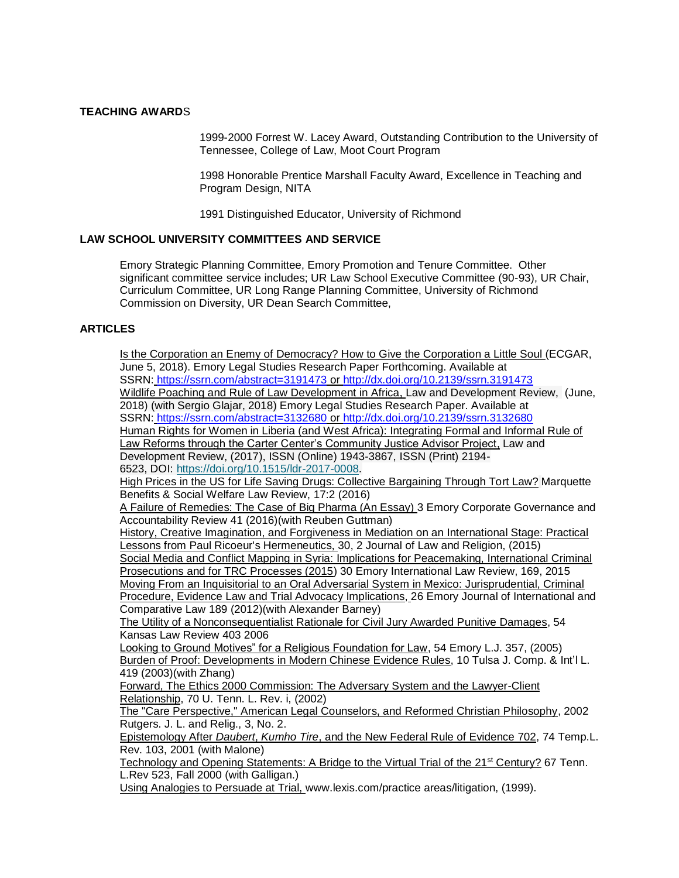#### **TEACHING AWARD**S

1999-2000 Forrest W. Lacey Award, Outstanding Contribution to the University of Tennessee, College of Law, Moot Court Program

1998 Honorable Prentice Marshall Faculty Award, Excellence in Teaching and Program Design, NITA

1991 Distinguished Educator, University of Richmond

### **LAW SCHOOL UNIVERSITY COMMITTEES AND SERVICE**

Emory Strategic Planning Committee, Emory Promotion and Tenure Committee. Other significant committee service includes; UR Law School Executive Committee (90-93), UR Chair, Curriculum Committee, UR Long Range Planning Committee, University of Richmond Commission on Diversity, UR Dean Search Committee,

# **ARTICLES**

Is the Corporation an Enemy of Democracy? How to Give the Corporation a Little Soul (ECGAR, June 5, 2018). Emory Legal Studies Research Paper Forthcoming. Available at SSRN: <https://ssrn.com/abstract=3191473> or [http://dx.doi.org/10.2139/ssrn.3191473](https://dx.doi.org/10.2139/ssrn.3191473) Wildlife Poaching and Rule of Law Development in Africa, Law and Development Review, (June, 2018) (with Sergio Glajar, 2018) Emory Legal Studies Research Paper. Available at SSRN: <https://ssrn.com/abstract=3132680> or [http://dx.doi.org/10.2139/ssrn.3132680](https://dx.doi.org/10.2139/ssrn.3132680) Human Rights for Women in Liberia (and West Africa): Integrating Formal and Informal Rule of Law Reforms through the Carter Center's Community Justice Advisor Project, Law and Development Review, (2017), ISSN (Online) 1943-3867, ISSN (Print) 2194- 6523, DOI: [https://doi.org/10.1515/ldr-2017-0008.](https://doi.org/10.1515/ldr-2017-0008) High Prices in the US for Life Saving Drugs: Collective Bargaining Through Tort Law? Marquette Benefits & Social Welfare Law Review, 17:2 (2016) A Failure of Remedies: The Case of Big Pharma (An Essay) 3 Emory Corporate Governance and Accountability Review 41 (2016)(with Reuben Guttman) History, Creative Imagination, and Forgiveness in Mediation on an International Stage: Practical Lessons from Paul Ricoeur's Hermeneutics, 30, 2 Journal of Law and Religion, (2015) Social Media and Conflict Mapping in Syria: Implications for Peacemaking, International Criminal Prosecutions and for TRC Processes (2015) 30 Emory International Law Review, 169, 2015 Moving From an Inquisitorial to an Oral Adversarial System in Mexico: Jurisprudential, Criminal Procedure, Evidence Law and Trial Advocacy Implications, 26 Emory Journal of International and Comparative Law 189 (2012)(with Alexander Barney) The Utility of a Nonconsequentialist Rationale for Civil Jury Awarded Punitive Damages, 54 Kansas Law Review 403 2006 Looking to Ground Motives" for a Religious Foundation for Law, 54 Emory L.J. 357, (2005) Burden of Proof: Developments in Modern Chinese Evidence Rules, 10 Tulsa J. Comp. & Int'l L. 419 (2003)(with Zhang) Forward, The Ethics 2000 Commission: The Adversary System and the Lawyer-Client Relationship, 70 U. Tenn. L. Rev. i, (2002) The "Care Perspective," American Legal Counselors, and Reformed Christian Philosophy, 2002 Rutgers. J. L. and Relig., 3, No. 2. Epistemology After *Daubert*, *Kumho Tire*, and the New Federal Rule of Evidence 702, 74 Temp.L. Rev. 103, 2001 (with Malone) Technology and Opening Statements: A Bridge to the Virtual Trial of the 21<sup>st</sup> Century? 67 Tenn. L.Rev 523, Fall 2000 (with Galligan.) Using Analogies to Persuade at Trial, www.lexis.com/practice areas/litigation, (1999).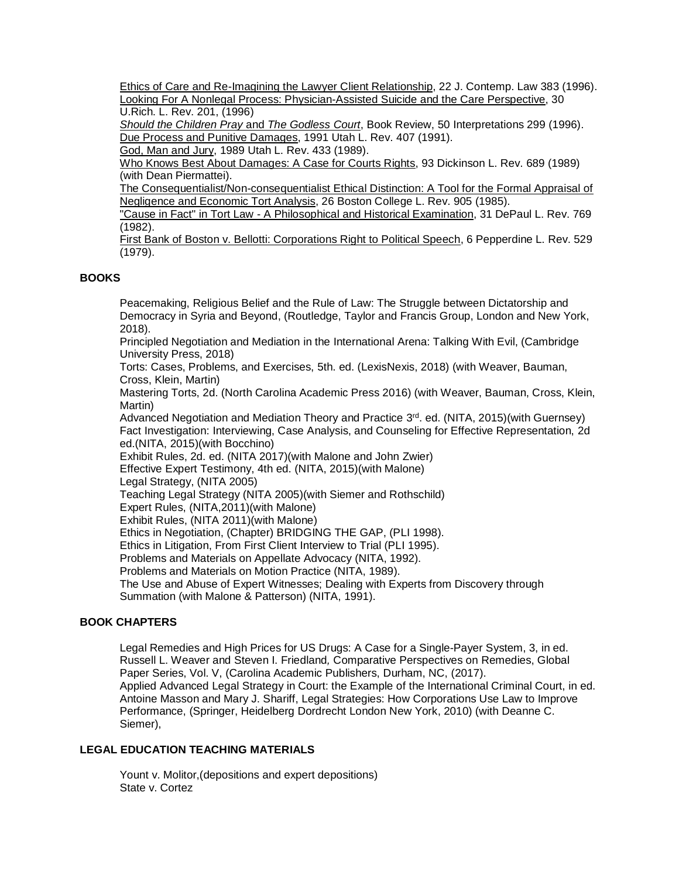Ethics of Care and Re-Imagining the Lawyer Client Relationship, 22 J. Contemp. Law 383 (1996). Looking For A Nonlegal Process: Physician-Assisted Suicide and the Care Perspective, 30 U.Rich. L. Rev. 201, (1996)

*Should the Children Pray* and *The Godless Court*, Book Review, 50 Interpretations 299 (1996). Due Process and Punitive Damages, 1991 Utah L. Rev. 407 (1991).

God, Man and Jury, 1989 Utah L. Rev. 433 (1989).

Who Knows Best About Damages: A Case for Courts Rights, 93 Dickinson L. Rev. 689 (1989) (with Dean Piermattei).

The Consequentialist/Non-consequentialist Ethical Distinction: A Tool for the Formal Appraisal of Negligence and Economic Tort Analysis, 26 Boston College L. Rev. 905 (1985).

"Cause in Fact" in Tort Law - A Philosophical and Historical Examination, 31 DePaul L. Rev. 769 (1982).

First Bank of Boston v. Bellotti: Corporations Right to Political Speech, 6 Pepperdine L. Rev. 529 (1979).

# **BOOKS**

Peacemaking, Religious Belief and the Rule of Law: The Struggle between Dictatorship and Democracy in Syria and Beyond, (Routledge, Taylor and Francis Group, London and New York, 2018).

Principled Negotiation and Mediation in the International Arena: Talking With Evil, (Cambridge University Press, 2018)

Torts: Cases, Problems, and Exercises, 5th. ed. (LexisNexis, 2018) (with Weaver, Bauman, Cross, Klein, Martin)

Mastering Torts, 2d. (North Carolina Academic Press 2016) (with Weaver, Bauman, Cross, Klein, Martin)

Advanced Negotiation and Mediation Theory and Practice 3<sup>rd</sup>. ed. (NITA, 2015) (with Guernsey) Fact Investigation: Interviewing, Case Analysis, and Counseling for Effective Representation, 2d ed.(NITA, 2015)(with Bocchino)

Exhibit Rules, 2d. ed. (NITA 2017)(with Malone and John Zwier)

Effective Expert Testimony, 4th ed. (NITA, 2015)(with Malone)

Legal Strategy, (NITA 2005)

Teaching Legal Strategy (NITA 2005)(with Siemer and Rothschild)

Expert Rules, (NITA,2011)(with Malone)

Exhibit Rules, (NITA 2011)(with Malone)

Ethics in Negotiation, (Chapter) BRIDGING THE GAP, (PLI 1998).

Ethics in Litigation, From First Client Interview to Trial (PLI 1995).

Problems and Materials on Appellate Advocacy (NITA, 1992).

Problems and Materials on Motion Practice (NITA, 1989).

The Use and Abuse of Expert Witnesses; Dealing with Experts from Discovery through Summation (with Malone & Patterson) (NITA, 1991).

# **BOOK CHAPTERS**

Legal Remedies and High Prices for US Drugs: A Case for a Single-Payer System, 3, in ed. Russell L. Weaver and Steven I. Friedland*,* Comparative Perspectives on Remedies, Global Paper Series, Vol. V, (Carolina Academic Publishers, Durham, NC, (2017). Applied Advanced Legal Strategy in Court: the Example of the International Criminal Court, in ed. Antoine Masson and Mary J. Shariff, Legal Strategies: How Corporations Use Law to Improve Performance, (Springer, Heidelberg Dordrecht London New York, 2010) (with Deanne C. Siemer),

# **LEGAL EDUCATION TEACHING MATERIALS**

Yount v. Molitor,(depositions and expert depositions) State v. Cortez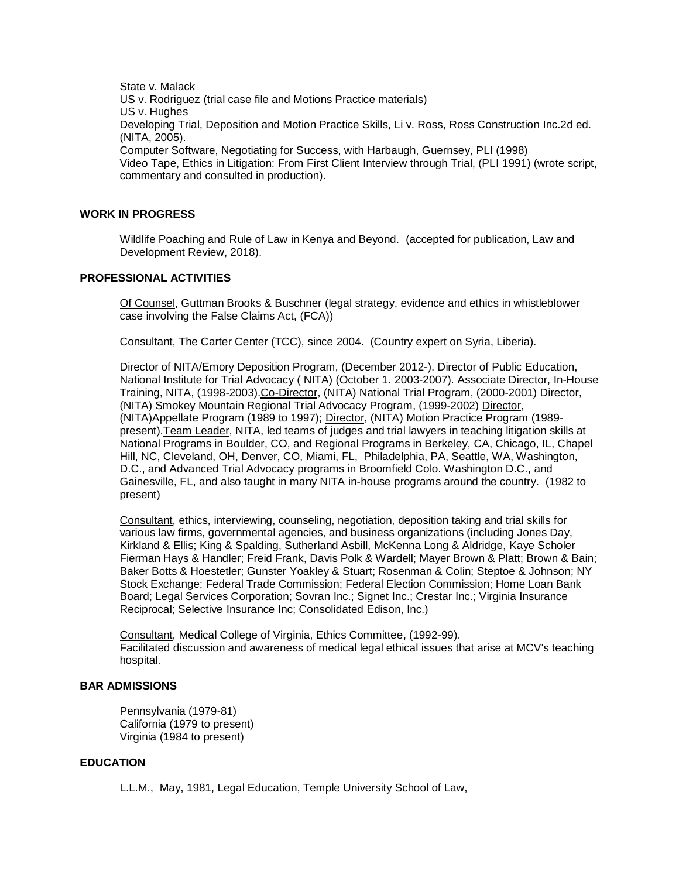State v. Malack US v. Rodriguez (trial case file and Motions Practice materials) US v. Hughes Developing Trial, Deposition and Motion Practice Skills, Li v. Ross, Ross Construction Inc.2d ed. (NITA, 2005). Computer Software, Negotiating for Success, with Harbaugh, Guernsey, PLI (1998) Video Tape, Ethics in Litigation: From First Client Interview through Trial, (PLI 1991) (wrote script,

#### **WORK IN PROGRESS**

Wildlife Poaching and Rule of Law in Kenya and Beyond. (accepted for publication, Law and Development Review, 2018).

#### **PROFESSIONAL ACTIVITIES**

commentary and consulted in production).

Of Counsel, Guttman Brooks & Buschner (legal strategy, evidence and ethics in whistleblower case involving the False Claims Act, (FCA))

Consultant, The Carter Center (TCC), since 2004. (Country expert on Syria, Liberia).

Director of NITA/Emory Deposition Program, (December 2012-). Director of Public Education, National Institute for Trial Advocacy ( NITA) (October 1. 2003-2007). Associate Director, In-House Training, NITA, (1998-2003). Co-Director, (NITA) National Trial Program, (2000-2001) Director, (NITA) Smokey Mountain Regional Trial Advocacy Program, (1999-2002) Director, (NITA)Appellate Program (1989 to 1997); Director, (NITA) Motion Practice Program (1989 present).Team Leader, NITA, led teams of judges and trial lawyers in teaching litigation skills at National Programs in Boulder, CO, and Regional Programs in Berkeley, CA, Chicago, IL, Chapel Hill, NC, Cleveland, OH, Denver, CO, Miami, FL, Philadelphia, PA, Seattle, WA, Washington, D.C., and Advanced Trial Advocacy programs in Broomfield Colo. Washington D.C., and Gainesville, FL, and also taught in many NITA in-house programs around the country. (1982 to present)

Consultant, ethics, interviewing, counseling, negotiation, deposition taking and trial skills for various law firms, governmental agencies, and business organizations (including Jones Day, Kirkland & Ellis; King & Spalding, Sutherland Asbill, McKenna Long & Aldridge, Kaye Scholer Fierman Hays & Handler; Freid Frank, Davis Polk & Wardell; Mayer Brown & Platt; Brown & Bain; Baker Botts & Hoestetler; Gunster Yoakley & Stuart; Rosenman & Colin; Steptoe & Johnson; NY Stock Exchange; Federal Trade Commission; Federal Election Commission; Home Loan Bank Board; Legal Services Corporation; Sovran Inc.; Signet Inc.; Crestar Inc.; Virginia Insurance Reciprocal; Selective Insurance Inc; Consolidated Edison, Inc.)

Consultant, Medical College of Virginia, Ethics Committee, (1992-99). Facilitated discussion and awareness of medical legal ethical issues that arise at MCV's teaching hospital.

### **BAR ADMISSIONS**

Pennsylvania (1979-81) California (1979 to present) Virginia (1984 to present)

## **EDUCATION**

L.L.M., May, 1981, Legal Education, Temple University School of Law,